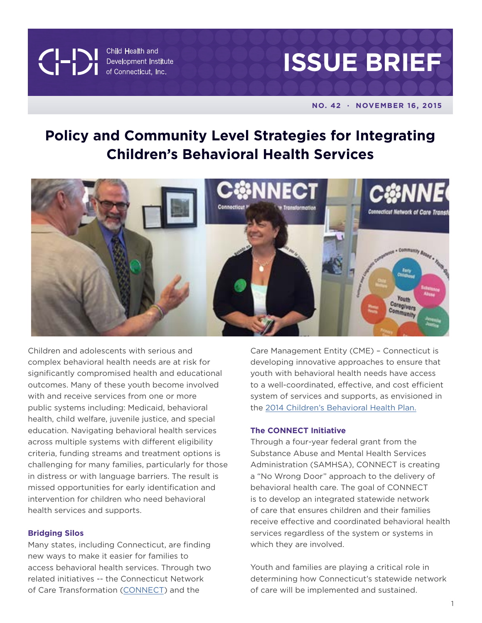CHANGE Child Health and<br>Development Institute<br>of Connecticut, Inc. Child Health and



#### **NO. 42 · NOVEMBER 16, 2015**

# **Policy and Community Level Strategies for Integrating Children's Behavioral Health Services**



Children and adolescents with serious and complex behavioral health needs are at risk for significantly compromised health and educational outcomes. Many of these youth become involved with and receive services from one or more public systems including: Medicaid, behavioral health, child welfare, juvenile justice, and special education. Navigating behavioral health services across multiple systems with different eligibility criteria, funding streams and treatment options is challenging for many families, particularly for those in distress or with language barriers. The result is missed opportunities for early identification and intervention for children who need behavioral health services and supports.

## **Bridging Silos**

Many states, including Connecticut, are finding new ways to make it easier for families to access behavioral health services. Through two related initiatives -- the Connecticut Network of Care Transformation [\(CONNECT](http://www.chdi.org/our-work/mental-health/systems-development/connect/)) and the

Care Management Entity (CME) – Connecticut is developing innovative approaches to ensure that youth with behavioral health needs have access to a well-coordinated, effective, and cost efficient system of services and supports, as envisioned in the [2014 Children's Behavioral Health Plan.](http://www.plan4children.org)

#### **The CONNECT Initiative**

Through a four-year federal grant from the Substance Abuse and Mental Health Services Administration (SAMHSA), CONNECT is creating a "No Wrong Door" approach to the delivery of behavioral health care. The goal of CONNECT is to develop an integrated statewide network of care that ensures children and their families receive effective and coordinated behavioral health services regardless of the system or systems in which they are involved.

Youth and families are playing a critical role in determining how Connecticut's statewide network of care will be implemented and sustained.